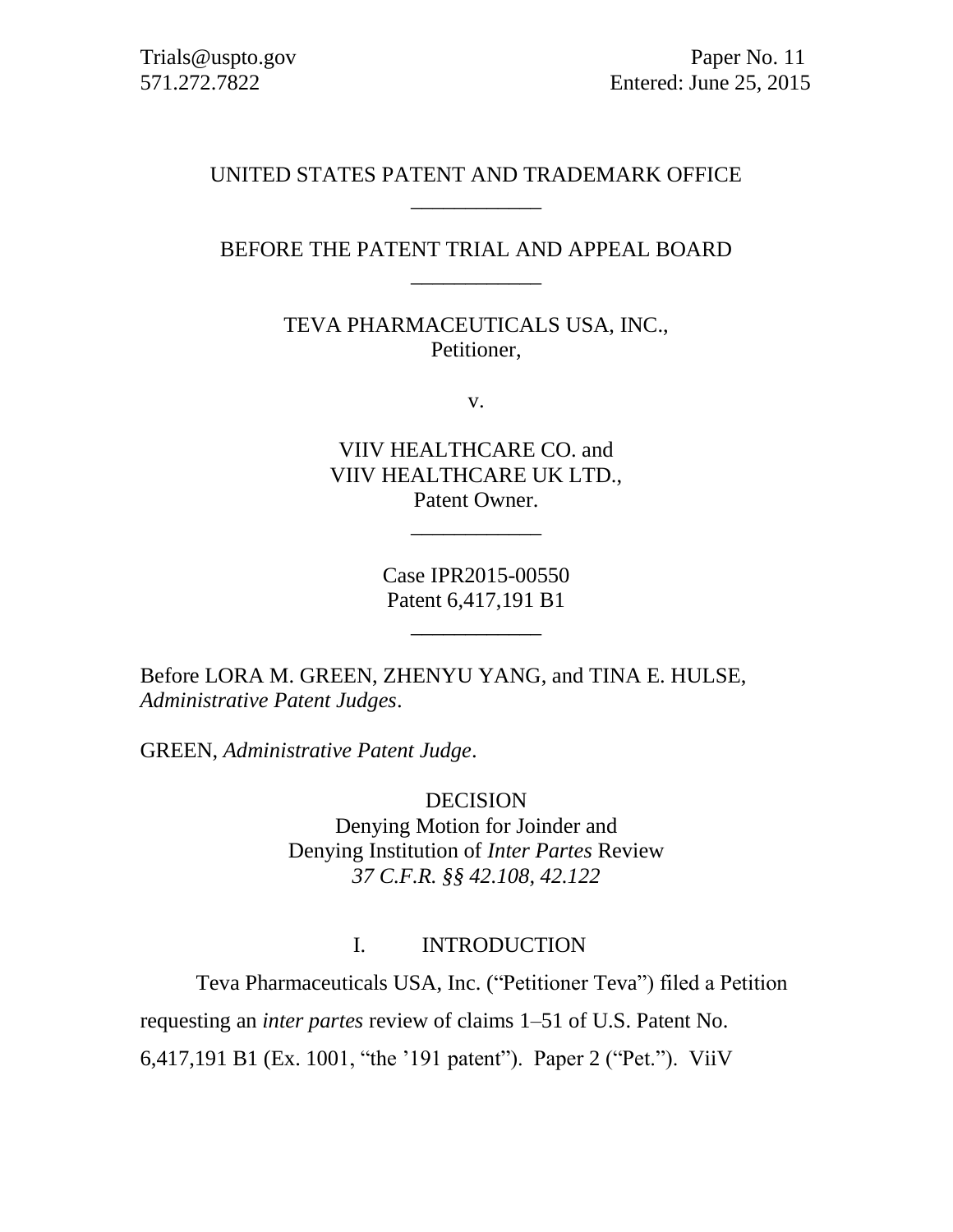#### UNITED STATES PATENT AND TRADEMARK OFFICE \_\_\_\_\_\_\_\_\_\_\_\_

# BEFORE THE PATENT TRIAL AND APPEAL BOARD \_\_\_\_\_\_\_\_\_\_\_\_

TEVA PHARMACEUTICALS USA, INC., Petitioner,

v.

VIIV HEALTHCARE CO. and VIIV HEALTHCARE UK LTD., Patent Owner.

\_\_\_\_\_\_\_\_\_\_\_\_

Case IPR2015-00550 Patent 6,417,191 B1

\_\_\_\_\_\_\_\_\_\_\_\_

Before LORA M. GREEN, ZHENYU YANG, and TINA E. HULSE, *Administrative Patent Judges*.

GREEN, *Administrative Patent Judge*.

DECISION Denying Motion for Joinder and Denying Institution of *Inter Partes* Review *37 C.F.R. §§ 42.108, 42.122*

## I. INTRODUCTION

Teva Pharmaceuticals USA, Inc. ("Petitioner Teva") filed a Petition

requesting an *inter partes* review of claims 1–51 of U.S. Patent No.

6,417,191 B1 (Ex. 1001, "the '191 patent"). Paper 2 ("Pet."). ViiV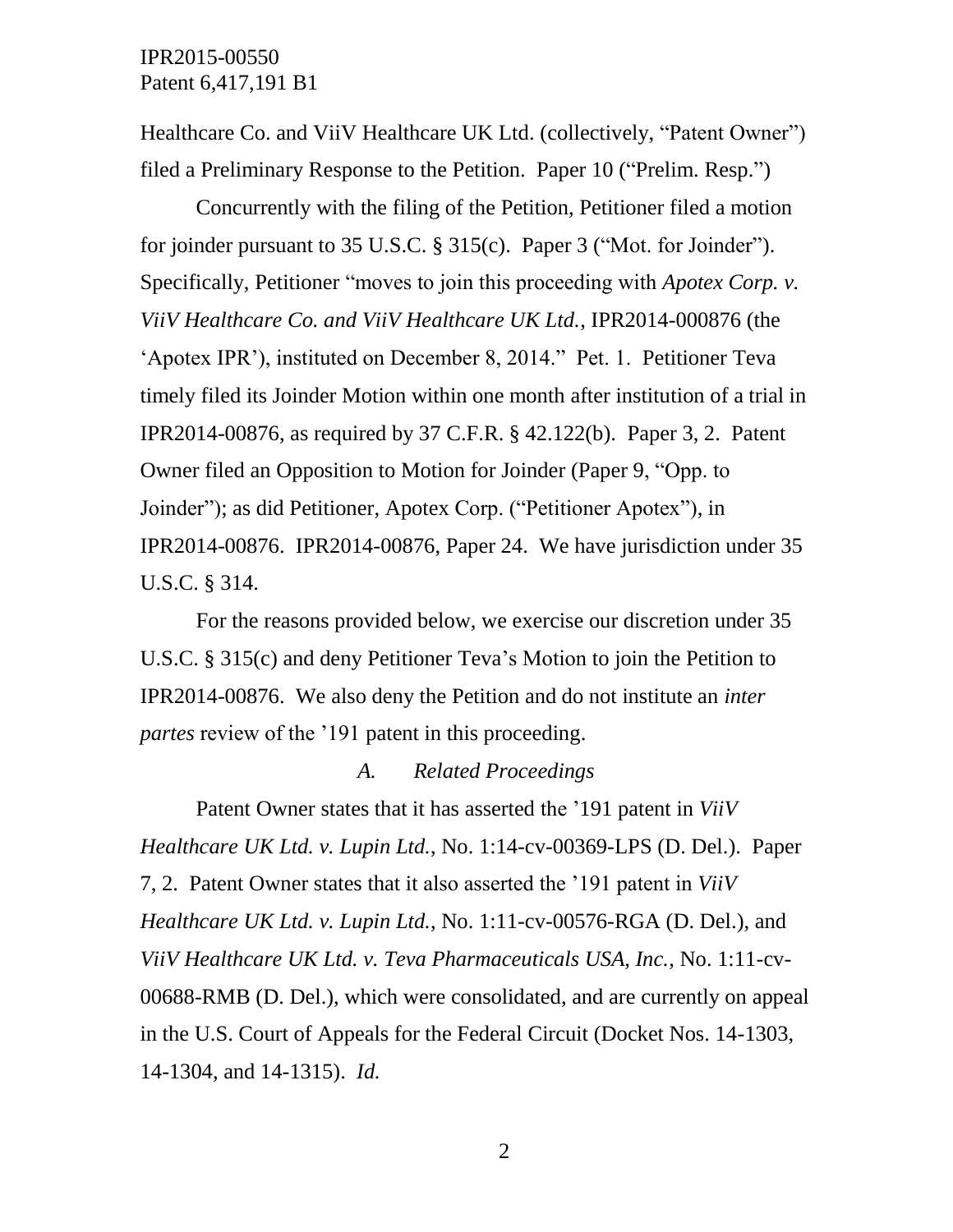Healthcare Co. and ViiV Healthcare UK Ltd. (collectively, "Patent Owner") filed a Preliminary Response to the Petition. Paper 10 ("Prelim. Resp.")

Concurrently with the filing of the Petition, Petitioner filed a motion for joinder pursuant to 35 U.S.C. § 315(c). Paper 3 ("Mot. for Joinder"). Specifically, Petitioner "moves to join this proceeding with *Apotex Corp. v. ViiV Healthcare Co. and ViiV Healthcare UK Ltd.*, IPR2014-000876 (the 'Apotex IPR'), instituted on December 8, 2014." Pet. 1. Petitioner Teva timely filed its Joinder Motion within one month after institution of a trial in IPR2014-00876, as required by 37 C.F.R. § 42.122(b). Paper 3, 2. Patent Owner filed an Opposition to Motion for Joinder (Paper 9, "Opp. to Joinder"); as did Petitioner, Apotex Corp. ("Petitioner Apotex"), in IPR2014-00876. IPR2014-00876, Paper 24. We have jurisdiction under 35 U.S.C. § 314.

For the reasons provided below, we exercise our discretion under 35 U.S.C. § 315(c) and deny Petitioner Teva's Motion to join the Petition to IPR2014-00876. We also deny the Petition and do not institute an *inter partes* review of the '191 patent in this proceeding.

#### *A. Related Proceedings*

Patent Owner states that it has asserted the '191 patent in *ViiV Healthcare UK Ltd. v. Lupin Ltd.*, No. 1:14-cv-00369-LPS (D. Del.). Paper 7, 2. Patent Owner states that it also asserted the '191 patent in *ViiV Healthcare UK Ltd. v. Lupin Ltd.*, No. 1:11-cv-00576-RGA (D. Del.), and *ViiV Healthcare UK Ltd. v. Teva Pharmaceuticals USA, Inc.*, No. 1:11-cv-00688-RMB (D. Del.), which were consolidated, and are currently on appeal in the U.S. Court of Appeals for the Federal Circuit (Docket Nos. 14-1303, 14-1304, and 14-1315). *Id.*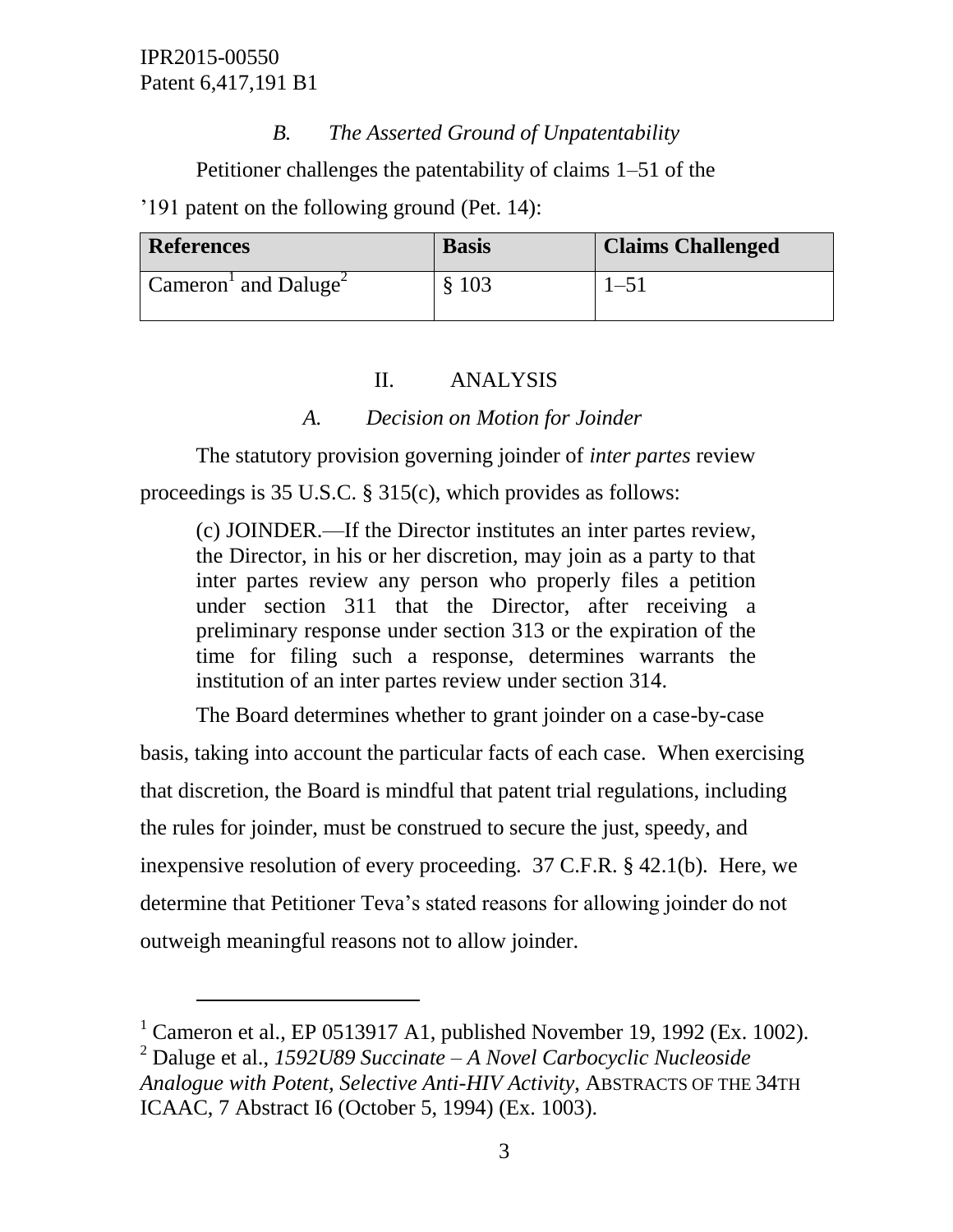$\overline{a}$ 

# *B. The Asserted Ground of Unpatentability*

Petitioner challenges the patentability of claims 1–51 of the

'191 patent on the following ground (Pet. 14):

| <b>References</b>                                   | <b>Basis</b> | <b>Claims Challenged</b> |
|-----------------------------------------------------|--------------|--------------------------|
| $\sim$ Cameron <sup>1</sup> and Daluge <sup>2</sup> | \$103        | $-51$                    |

#### II. ANALYSIS

## *A. Decision on Motion for Joinder*

The statutory provision governing joinder of *inter partes* review proceedings is 35 U.S.C. § 315(c), which provides as follows:

(c) JOINDER.—If the Director institutes an inter partes review, the Director, in his or her discretion, may join as a party to that inter partes review any person who properly files a petition under section 311 that the Director, after receiving a preliminary response under section 313 or the expiration of the time for filing such a response, determines warrants the institution of an inter partes review under section 314.

The Board determines whether to grant joinder on a case-by-case

basis, taking into account the particular facts of each case. When exercising that discretion, the Board is mindful that patent trial regulations, including the rules for joinder, must be construed to secure the just, speedy, and inexpensive resolution of every proceeding. 37 C.F.R. § 42.1(b). Here, we determine that Petitioner Teva's stated reasons for allowing joinder do not outweigh meaningful reasons not to allow joinder.

<sup>&</sup>lt;sup>1</sup> Cameron et al., EP 0513917 A1, published November 19, 1992 (Ex. 1002).

<sup>2</sup> Daluge et al., *1592U89 Succinate – A Novel Carbocyclic Nucleoside Analogue with Potent, Selective Anti-HIV Activity*, ABSTRACTS OF THE 34TH ICAAC, 7 Abstract I6 (October 5, 1994) (Ex. 1003).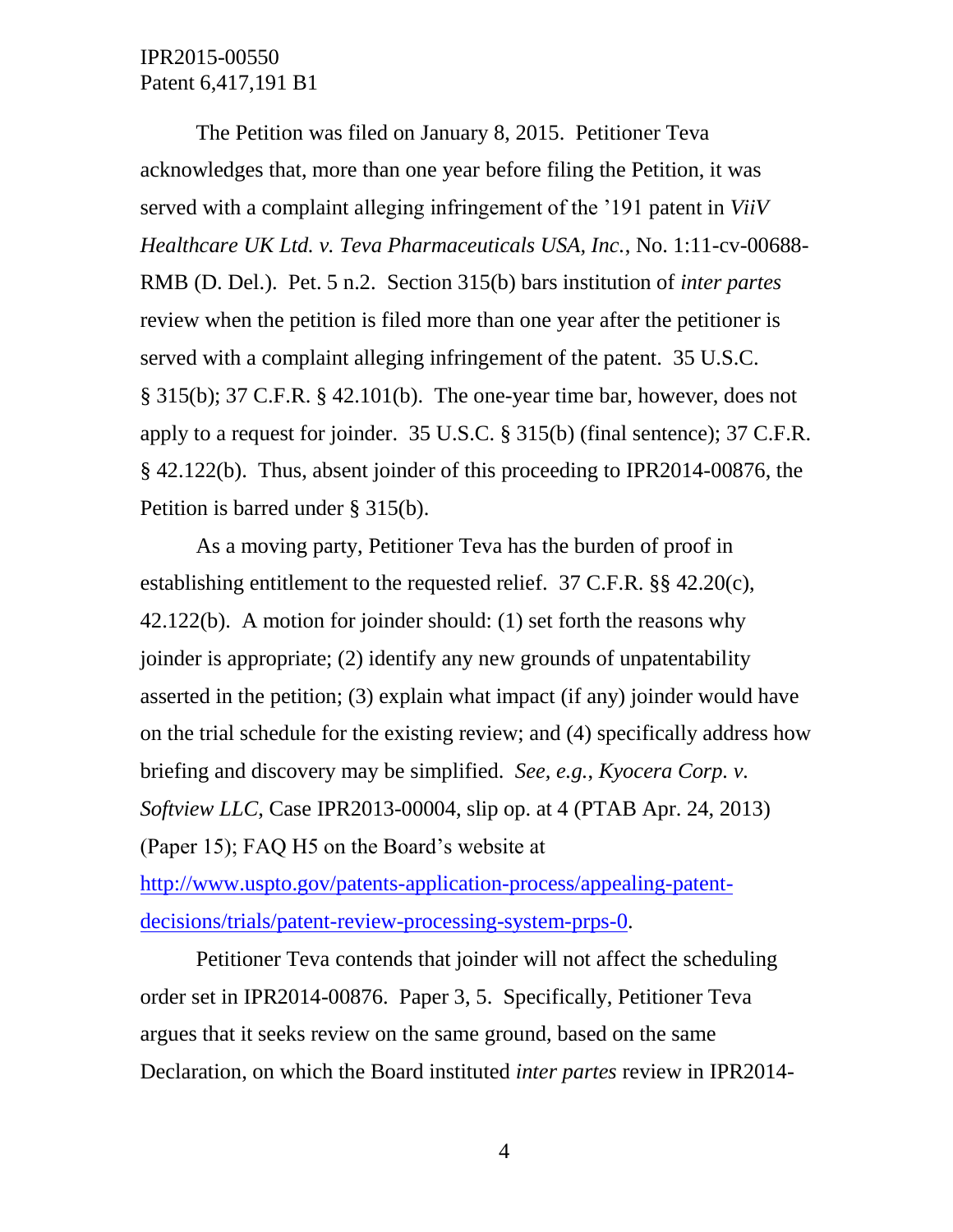The Petition was filed on January 8, 2015. Petitioner Teva acknowledges that, more than one year before filing the Petition, it was served with a complaint alleging infringement of the '191 patent in *ViiV Healthcare UK Ltd. v. Teva Pharmaceuticals USA, Inc.*, No. 1:11-cv-00688- RMB (D. Del.). Pet. 5 n.2. Section 315(b) bars institution of *inter partes* review when the petition is filed more than one year after the petitioner is served with a complaint alleging infringement of the patent. 35 U.S.C. § 315(b); 37 C.F.R. § 42.101(b). The one-year time bar, however, does not apply to a request for joinder. 35 U.S.C. § 315(b) (final sentence); 37 C.F.R. § 42.122(b). Thus, absent joinder of this proceeding to IPR2014-00876, the Petition is barred under § 315(b).

As a moving party, Petitioner Teva has the burden of proof in establishing entitlement to the requested relief. 37 C.F.R. §§ 42.20(c), 42.122(b). A motion for joinder should: (1) set forth the reasons why joinder is appropriate; (2) identify any new grounds of unpatentability asserted in the petition; (3) explain what impact (if any) joinder would have on the trial schedule for the existing review; and (4) specifically address how briefing and discovery may be simplified. *See, e.g.*, *Kyocera Corp. v. Softview LLC*, Case IPR2013-00004, slip op. at 4 (PTAB Apr. 24, 2013) (Paper 15); FAQ H5 on the Board's website at

[http://www.uspto.gov/patents-application-process/appealing-patent](http://www.uspto.gov/patents-application-process/appealing-patent-decisions/trials/patent-review-processing-system-prps-0)[decisions/trials/patent-review-processing-system-prps-0.](http://www.uspto.gov/patents-application-process/appealing-patent-decisions/trials/patent-review-processing-system-prps-0)

Petitioner Teva contends that joinder will not affect the scheduling order set in IPR2014-00876. Paper 3, 5. Specifically, Petitioner Teva argues that it seeks review on the same ground, based on the same Declaration, on which the Board instituted *inter partes* review in IPR2014-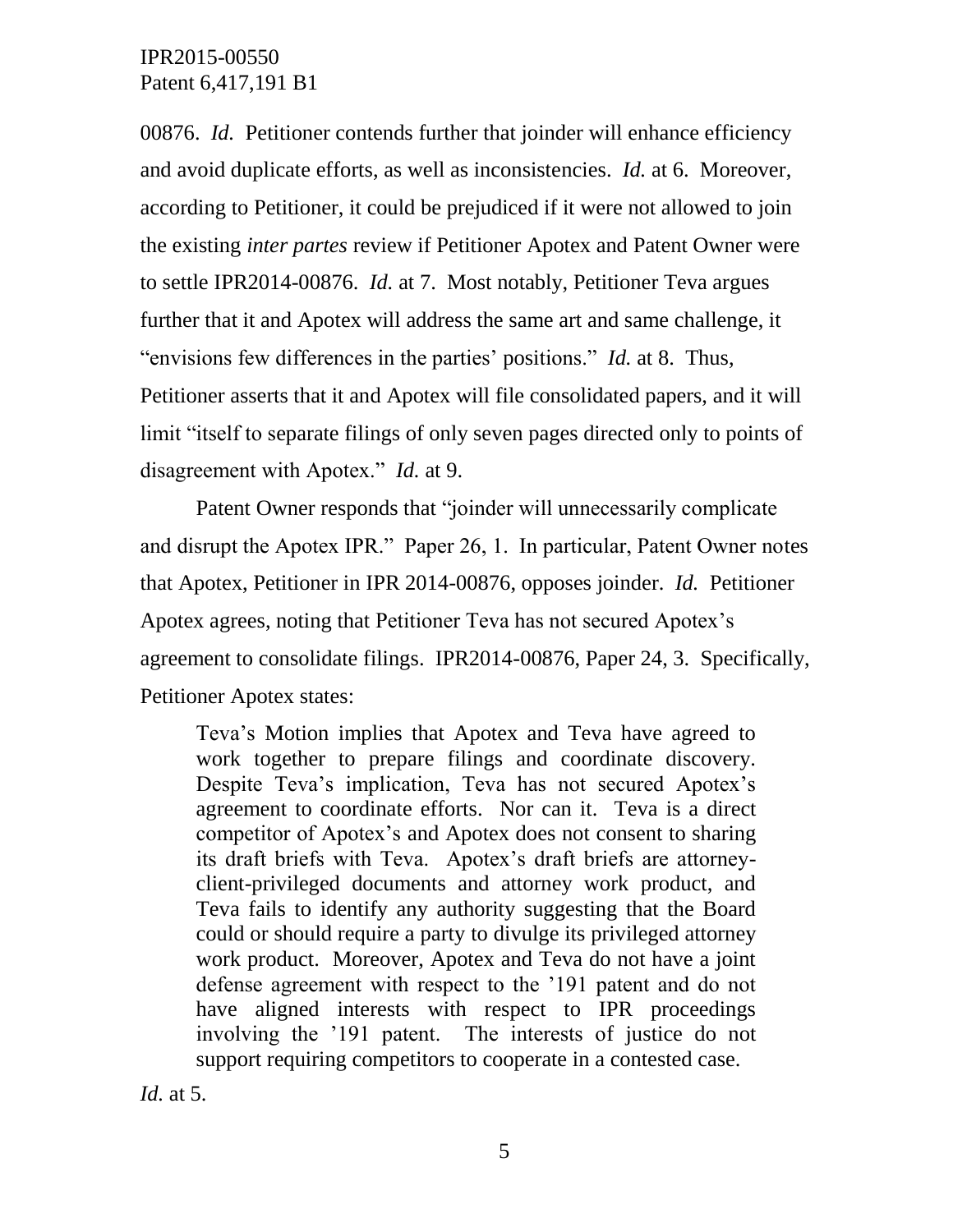00876. *Id.* Petitioner contends further that joinder will enhance efficiency and avoid duplicate efforts, as well as inconsistencies. *Id.* at 6. Moreover, according to Petitioner, it could be prejudiced if it were not allowed to join the existing *inter partes* review if Petitioner Apotex and Patent Owner were to settle IPR2014-00876. *Id.* at 7. Most notably, Petitioner Teva argues further that it and Apotex will address the same art and same challenge, it "envisions few differences in the parties' positions." *Id.* at 8. Thus, Petitioner asserts that it and Apotex will file consolidated papers, and it will limit "itself to separate filings of only seven pages directed only to points of disagreement with Apotex." *Id.* at 9.

Patent Owner responds that "joinder will unnecessarily complicate and disrupt the Apotex IPR." Paper 26, 1. In particular, Patent Owner notes that Apotex, Petitioner in IPR 2014-00876, opposes joinder. *Id.* Petitioner Apotex agrees, noting that Petitioner Teva has not secured Apotex's agreement to consolidate filings. IPR2014-00876, Paper 24, 3. Specifically, Petitioner Apotex states:

Teva's Motion implies that Apotex and Teva have agreed to work together to prepare filings and coordinate discovery. Despite Teva's implication, Teva has not secured Apotex's agreement to coordinate efforts. Nor can it. Teva is a direct competitor of Apotex's and Apotex does not consent to sharing its draft briefs with Teva. Apotex's draft briefs are attorneyclient-privileged documents and attorney work product, and Teva fails to identify any authority suggesting that the Board could or should require a party to divulge its privileged attorney work product. Moreover, Apotex and Teva do not have a joint defense agreement with respect to the '191 patent and do not have aligned interests with respect to IPR proceedings involving the '191 patent. The interests of justice do not support requiring competitors to cooperate in a contested case.

*Id.* at 5.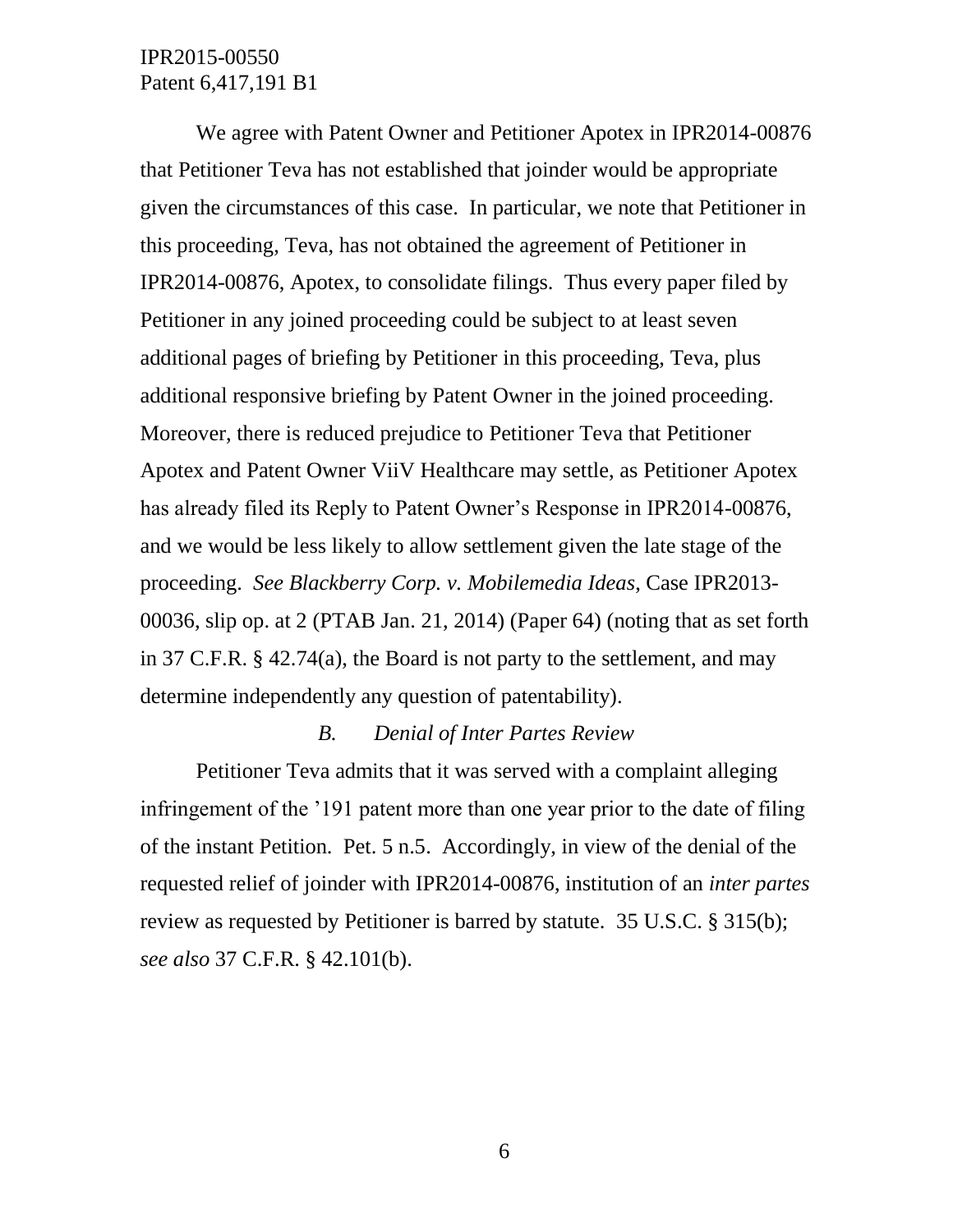We agree with Patent Owner and Petitioner Apotex in IPR2014-00876 that Petitioner Teva has not established that joinder would be appropriate given the circumstances of this case. In particular, we note that Petitioner in this proceeding, Teva, has not obtained the agreement of Petitioner in IPR2014-00876, Apotex, to consolidate filings. Thus every paper filed by Petitioner in any joined proceeding could be subject to at least seven additional pages of briefing by Petitioner in this proceeding, Teva, plus additional responsive briefing by Patent Owner in the joined proceeding. Moreover, there is reduced prejudice to Petitioner Teva that Petitioner Apotex and Patent Owner ViiV Healthcare may settle, as Petitioner Apotex has already filed its Reply to Patent Owner's Response in IPR2014-00876, and we would be less likely to allow settlement given the late stage of the proceeding. *See Blackberry Corp. v. Mobilemedia Ideas*, Case IPR2013- 00036, slip op. at 2 (PTAB Jan. 21, 2014) (Paper 64) (noting that as set forth in 37 C.F.R. § 42.74(a), the Board is not party to the settlement, and may determine independently any question of patentability).

#### *B. Denial of Inter Partes Review*

Petitioner Teva admits that it was served with a complaint alleging infringement of the '191 patent more than one year prior to the date of filing of the instant Petition. Pet. 5 n.5. Accordingly, in view of the denial of the requested relief of joinder with IPR2014-00876, institution of an *inter partes*  review as requested by Petitioner is barred by statute. 35 U.S.C. § 315(b); *see also* 37 C.F.R. § 42.101(b).

6